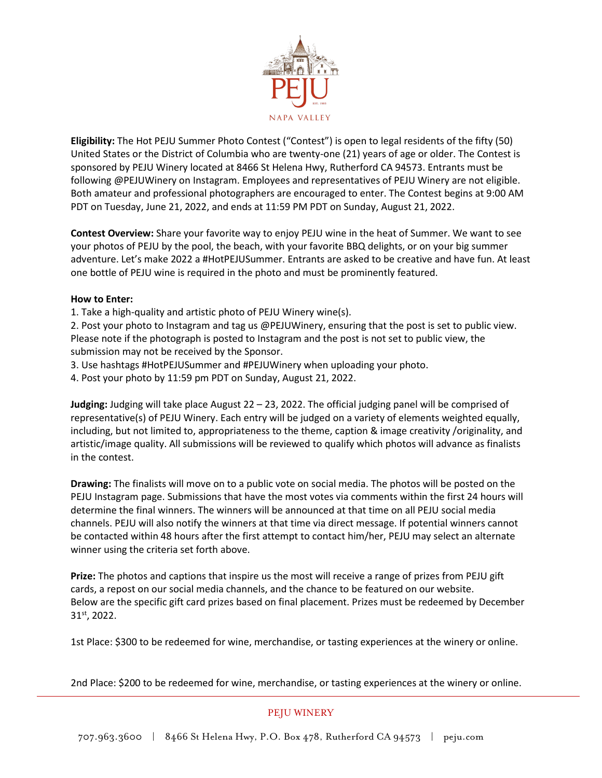

**Eligibility:** The Hot PEJU Summer Photo Contest ("Contest") is open to legal residents of the fifty (50) United States or the District of Columbia who are twenty-one (21) years of age or older. The Contest is sponsored by PEJU Winery located at 8466 St Helena Hwy, Rutherford CA 94573. Entrants must be following @PEJUWinery on Instagram. Employees and representatives of PEJU Winery are not eligible. Both amateur and professional photographers are encouraged to enter. The Contest begins at 9:00 AM PDT on Tuesday, June 21, 2022, and ends at 11:59 PM PDT on Sunday, August 21, 2022.

**Contest Overview:** Share your favorite way to enjoy PEJU wine in the heat of Summer. We want to see your photos of PEJU by the pool, the beach, with your favorite BBQ delights, or on your big summer adventure. Let's make 2022 a #HotPEJUSummer. Entrants are asked to be creative and have fun. At least one bottle of PEJU wine is required in the photo and must be prominently featured.

## **How to Enter:**

1. Take a high-quality and artistic photo of PEJU Winery wine(s).

2. Post your photo to Instagram and tag us @PEJUWinery, ensuring that the post is set to public view. Please note if the photograph is posted to Instagram and the post is not set to public view, the submission may not be received by the Sponsor.

3. Use hashtags #HotPEJUSummer and #PEJUWinery when uploading your photo.

4. Post your photo by 11:59 pm PDT on Sunday, August 21, 2022.

**Judging:** Judging will take place August 22 – 23, 2022. The official judging panel will be comprised of representative(s) of PEJU Winery. Each entry will be judged on a variety of elements weighted equally, including, but not limited to, appropriateness to the theme, caption & image creativity /originality, and artistic/image quality. All submissions will be reviewed to qualify which photos will advance as finalists in the contest.

**Drawing:** The finalists will move on to a public vote on social media. The photos will be posted on the PEJU Instagram page. Submissions that have the most votes via comments within the first 24 hours will determine the final winners. The winners will be announced at that time on all PEJU social media channels. PEJU will also notify the winners at that time via direct message. If potential winners cannot be contacted within 48 hours after the first attempt to contact him/her, PEJU may select an alternate winner using the criteria set forth above.

**Prize:** The photos and captions that inspire us the most will receive a range of prizes from PEJU gift cards, a repost on our social media channels, and the chance to be featured on our website. Below are the specific gift card prizes based on final placement. Prizes must be redeemed by December 31st, 2022.

1st Place: \$300 to be redeemed for wine, merchandise, or tasting experiences at the winery or online.

2nd Place: \$200 to be redeemed for wine, merchandise, or tasting experiences at the winery or online.

## PEJU WINERY